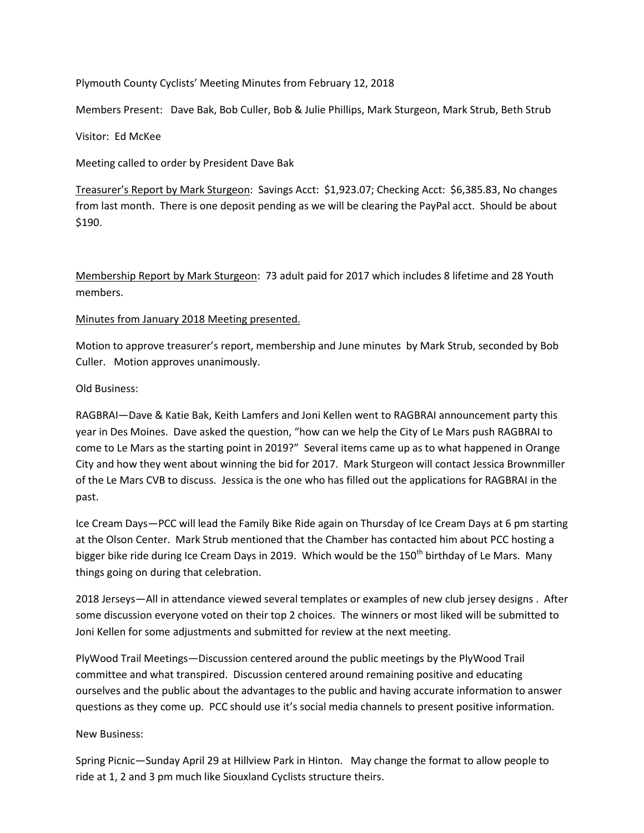Plymouth County Cyclists' Meeting Minutes from February 12, 2018

Members Present: Dave Bak, Bob Culler, Bob & Julie Phillips, Mark Sturgeon, Mark Strub, Beth Strub

Visitor: Ed McKee

Meeting called to order by President Dave Bak

Treasurer's Report by Mark Sturgeon: Savings Acct: \$1,923.07; Checking Acct: \$6,385.83, No changes from last month. There is one deposit pending as we will be clearing the PayPal acct. Should be about \$190.

Membership Report by Mark Sturgeon: 73 adult paid for 2017 which includes 8 lifetime and 28 Youth members.

## Minutes from January 2018 Meeting presented.

Motion to approve treasurer's report, membership and June minutes by Mark Strub, seconded by Bob Culler. Motion approves unanimously.

## Old Business:

RAGBRAI—Dave & Katie Bak, Keith Lamfers and Joni Kellen went to RAGBRAI announcement party this year in Des Moines. Dave asked the question, "how can we help the City of Le Mars push RAGBRAI to come to Le Mars as the starting point in 2019?" Several items came up as to what happened in Orange City and how they went about winning the bid for 2017. Mark Sturgeon will contact Jessica Brownmiller of the Le Mars CVB to discuss. Jessica is the one who has filled out the applications for RAGBRAI in the past.

Ice Cream Days—PCC will lead the Family Bike Ride again on Thursday of Ice Cream Days at 6 pm starting at the Olson Center. Mark Strub mentioned that the Chamber has contacted him about PCC hosting a bigger bike ride during Ice Cream Days in 2019. Which would be the 150<sup>th</sup> birthday of Le Mars. Many things going on during that celebration.

2018 Jerseys—All in attendance viewed several templates or examples of new club jersey designs . After some discussion everyone voted on their top 2 choices. The winners or most liked will be submitted to Joni Kellen for some adjustments and submitted for review at the next meeting.

PlyWood Trail Meetings—Discussion centered around the public meetings by the PlyWood Trail committee and what transpired. Discussion centered around remaining positive and educating ourselves and the public about the advantages to the public and having accurate information to answer questions as they come up. PCC should use it's social media channels to present positive information.

## New Business:

Spring Picnic—Sunday April 29 at Hillview Park in Hinton. May change the format to allow people to ride at 1, 2 and 3 pm much like Siouxland Cyclists structure theirs.